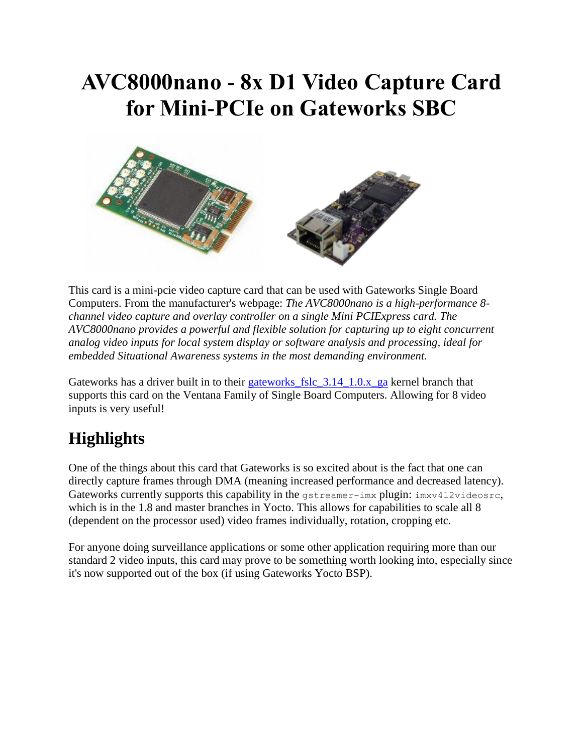## **AVC8000nano - 8x D1 Video Capture Card for Mini-PCIe on Gateworks SBC**



This card is a mini-pcie video capture card that can be used with Gateworks Single Board Computers. From the manufacturer's webpage: *The AVC8000nano is a high-performance 8 channel video capture and overlay controller on a single Mini PCIExpress card. The AVC8000nano provides a powerful and flexible solution for capturing up to eight concurrent analog video inputs for local system display or software analysis and processing, ideal for embedded Situational Awareness systems in the most demanding environment.*

Gateworks has a driver built in to their gateworks fslc  $3.14$   $1.0.x$  ga kernel branch that supports this card on the Ventana Family of Single Board Computers. Allowing for 8 video inputs is very useful!

### **Highlights**

One of the things about this card that Gateworks is so excited about is the fact that one can directly capture frames through DMA (meaning increased performance and decreased latency). Gateworks currently supports this capability in the  $q\$ streamer-imx plugin:  $imxv412videosrc$ , which is in the 1.8 and master branches in Yocto. This allows for capabilities to scale all 8 (dependent on the processor used) video frames individually, rotation, cropping etc.

For anyone doing surveillance applications or some other application requiring more than our standard 2 video inputs, this card may prove to be something worth looking into, especially since it's now supported out of the box (if using Gateworks Yocto BSP).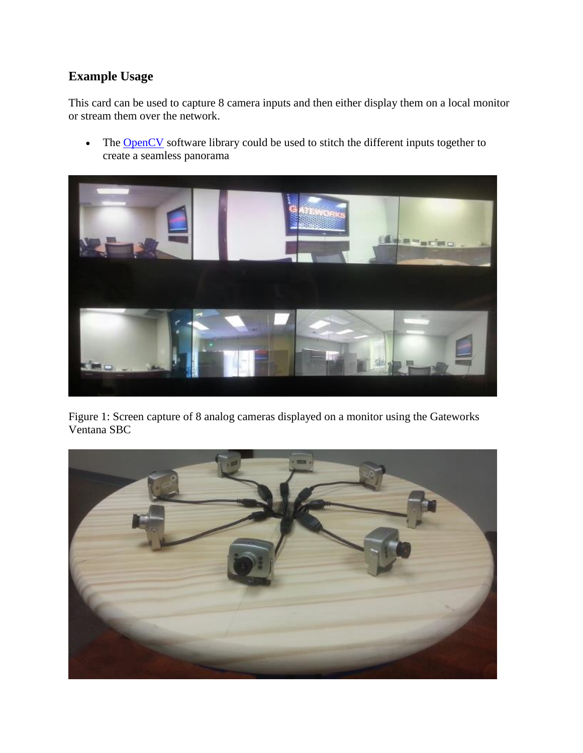#### **Example Usage**

This card can be used to capture 8 camera inputs and then either display them on a local monitor or stream them over the network.

• The [OpenCV](http://opencv.org/) software library could be used to stitch the different inputs together to create a seamless panorama



Figure 1: Screen capture of 8 analog cameras displayed on a monitor using the Gateworks Ventana SBC